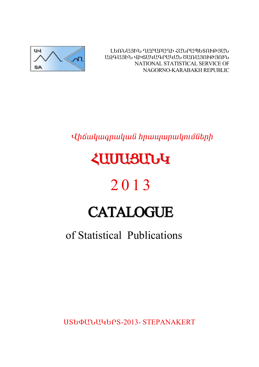

ԼԵՌՆԱՅԻՆ ՂԱՐԱԲԱՂԻ ՀԱՆՐԱՊԵՏՈՒԹՅԱՆ ԱԶԳԱՅԻՆ ՎԻճԱԿԱԳՐԱԿԱՆ ԾԱՌԱՅՈՒԹՅՈՒՆ NATIONAL STATISTICAL SERVICE OF NAGORNO-KARABAKH REPUBLIC

Վիճակագրական հրապարակումների

# *<u><u><b>ZUUUSUUG</u>*</u>

# 2013

# **CATALOGUE**

# of Statistical Publications

**USGOULJUGGPS-2013- STEPANAKERT**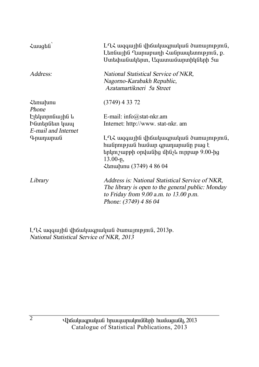| $\lambda$ wugha                                        | $L\Omega$ Հ ազգային վիճակագրական ծառայություն,<br>Լեռնային Ղարաբաղի Հանրապետություն, ք.<br>Ստեփանակերտ, Ազատամարտիկների 5ա                                               |
|--------------------------------------------------------|--------------------------------------------------------------------------------------------------------------------------------------------------------------------------|
| Address:                                               | National Statistical Service of NKR,<br>Nagorno-Karabakh Republic,<br>Azatamartikneri 5a Street                                                                          |
| <b><i><u></u></i></b> <i><b>stanurumu</b></i><br>Phone | $(3749)$ 4 33 72                                                                                                                                                         |
| Էլեկտրոնային և                                         | E-mail: $info@stat-nkr am$                                                                                                                                               |
| Ինտերնետ կապ                                           | Internet: http://www. stat-nkr. am                                                                                                                                       |
| E-mail and Internet                                    |                                                                                                                                                                          |
| Գրադարան                                               | $L\Omega$ Հ ազգային վիճակագրական ծառայություն,<br>հանրության համար գրադարանը բաց է<br>երկուշաբթի օրվանից մինչև ուրբաթ 9.00-ից<br>$13.00 - p$ ,<br>Հեռախոս (3749) 4 86 04 |
| Library                                                | Address is: National Statistical Service of NKR,<br>The library is open to the general public: Monday<br>to Friday from 9.00 a.m. to 13.00 p.m.<br>Phone: (3749) 4 86 04 |

L-L<br/>2 wqqwjhu dhowluuqnuluu downuynipjnia, 2013p.<br>National Statistical Service of NKR, 2013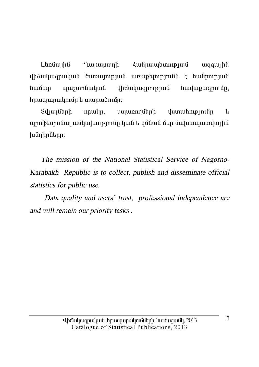Landwiha **Lunupunh** Հանոաաետության waawiha  $\psi$ huusun  $h$ n $mu$ ununulnı $\mathfrak{g}_n$ lı ununu $\delta$ nı $\mathfrak{g}_n$ :

Տվյայների  $nmu$ ln, սպառողների  $\mu$ um $\mu$ hn
p $\mu$ **u** պրոֆեսիոնալ անկախությունը կան և կմնան մեր նախապատվային  $h$ նդիրները:

The mission of the National Statistical Service of Nagorno-Karabakh Republic is to collect, publish and disseminate official statistics for public use.

Data quality and users' trust, professional independence are and will remain our priority tasks.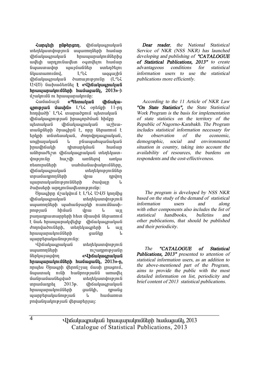*<u>Zunatih</u> nûptingin, dháwwanwwwG* տեղեկատվություն սպառողների համար ihốuiliuonuliui hnuuiunulinijűbnha uultuh unnimiliuultun oainultuni huuluin նաաստավոր աայմաններ ստեղծելու  $\lim_{u \to 0}$   $\lim_{u \to 0}$   $\lim_{u \to 0}$   $\lim_{u \to 0}$   $\lim_{u \to 0}$   $\lim_{u \to 0}$   $\lim_{u \to 0}$   $\lim_{u \to 0}$   $\lim_{u \to 0}$   $\lim_{u \to 0}$   $\lim_{u \to 0}$   $\lim_{u \to 0}$   $\lim_{u \to 0}$   $\lim_{u \to 0}$   $\lim_{u \to 0}$   $\lim_{u \to 0}$   $\lim_{u \to 0}$   $\lim_{u \to 0}$   $\lim_{u$ ihauluu uluu dunuun uluun (LLL U40) նախաձեռնել **է «Վիճակագրական hnuuuunuubnuuttah huufuuquutib.** 2013»-h u3uudnuu habaanan dagaan dagaan dagaan dagaan dagaan dagaan dagaan dagaan dagaan dagaan dagaan dagaan dagaan da

**¿**můnámí «Պետական iháuluu**annipjui úwuhú»** L-L< ontingh 11-nn hnnyluðh` LQ2 inunuð pni unanulung վիճակագրության իրագործման hիմթը ubunuluu uhouluu iluu urhuuտանքների ծրագիրն է, որը ներառում է  $t$ inlinh infintauiliuifi, donniliniuonuiliuifi, unghuyuyuua l pauyuuhuyuauyua իրավիճակի դիտարկման համար անհրաժեշտ վիճակագրական տեղեկատվությունը՝ հաշվի առնելով առկա ntuninu Gtinh uuhuu Guuhuu uuhuu Tafabin, dhճակագոական տեղեկություններ ïñ³Ù³¹ñáÕÝ»ñÇ íñ³ ¹ñíáÕ այարտականությունների ծավալը և ծախսերի արդյունավետությունը:

Ծրագիրը մշակվում է L-L-Հ U-LԾ կողմից <u>վիճակագրական</u> տեղեկատվություն uyunnnuth uyuhwu iyunla nunuutuuhnne juli hhúw i yhu kun pաղադրատարրերի hետ միասին ներառում t նաև hրապարակվելիք վիճակագոական dnnnywdni Gtph, intintywontinh li wi hnwww.mwlmuuthin.htm owling u www.php.muluu.com

Վիճակագրական տեղեկատվություն ëå³éáÕÝ»ñÇ áõß³¹ñáõÃÛ³ÝÁ Ý»ñϳ۳óíáÕ **§ìÇ׳ϳ·ñ³Ï³Ý**  hnwwwnwynutitahh hwuugway, 2013»-n, nnutu Önwanh dtnnu31wi uwuh inwaniu, նպատակ ունի հանրությանն առավել uwinwuwikquwo mtntywwyniejni  $unnulimn$ bi $1/2013$ p.  $u$ ho alianun kuu hnwwwnwynuathh qwayh, nnwag  $u$ արբերականության և hամառոտ  $p$ ովանդակության վերաբերյալ:

*Dear reader, the National Statistical Service of NKR (NSS NKR) has launched developing and publishing of "CATALOGUE of Statistical Publications, 2013" to create advantageous conditions for statistical information users to use the statistical publications more efficiently.* 

*According to the 11 Article of NKR Law "On State Statistics", the State Statistical Work Program is the basis for implementation of state statistics on the territory of the Republic of Nagorno-Karabakh. The Program includes statistical information necessary for the observation of the economic, demographic, social and environmental situation in country, taking into account the availability of resources, the burdens on respondents and the cost-effectiveness.* 

 *The program is developed by NSS NKR based on the study of the demand of statistical information users and along with other components also includes the list of statistical handbooks, bulletins and other publications, that should be published and their periodicity.* 

*The "CATALOGUE of Statistical Publications, 2013" presented to attention of statistical information users, as an addition to the above-mentioned part of the Program, aims to provide the public with the most detailed information on list, periodicity and brief content of 2013 statistical publications.*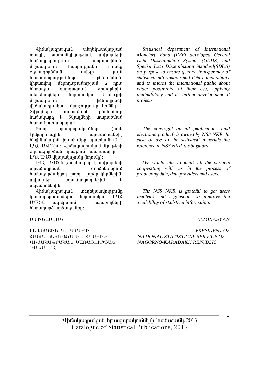**i** yhä yuqnuu yu ü  $n$ n $u$ l $h$ ,  $p$   $u$  $u$  $h$  $u$  $i$  $a$  $b$  $h$  $i$  $n$  $j$  $l$  $m$  $j$  $l$  $m$  $l$  $i$  $l$  $n$  $l$  $n$  $l$  $h$ ամառոել իության ասահովման. u`howqqwiha hwannipiwan npwaq ogunugnpò sud bilan bilan karakter el sentiment de la partie de la funzione de la funzione de la funzione dell Ñݳñ³íáñáõÃÛáõÝÝ»ñÇ ÁÝÓ»éÝÙ³Ý, lıhnundnn մեթnnun u Gne Tuli Lannu htunwqw qumquuqu ònwqntnhu ubantluuqutan uunuuland Undnuph  $\delta$ hholugourh $\delta$ վիճակագրական վարչությունը hիմնել է Sul iungung in an munu bainn an munu an na hhwuwwww u Suluulutah www. huunnili uunuifinunun:

 $P$ nnn hnuuunuunuunuutin (Guul  $t_1$ t $y_2$  the the final term of the term of the term of the term of the term of the term of the term of the term of the term of the term of the term of the term of the term of the term of term of the term of term of ter hեղինակային իրավունթը պատկանում է L L Z U U T-hû: U haw ywanwy ya û jniptinh oquuqnpduua ntupnuu uunuunhn t LL LUG duunuunsnun (hnnun):

LՂՀ ԱՎԾ-ն շնորհակալ է տվյայների innun undun ann am ann an am an t-àite ann an t-àite ann an t-àite ann an t-àite ann an t-àite an t-àite ann a hwuwqnpdwlgnn pnin qnpdpultputnhu, in in in in in in in the matter in the matter in the term of the term of the term of the term of the term of t uywnnfibnhG:

Վիճակագրական տեղեկատվությունը luununtiuuqnndtini Gujuunulini Luk U40-ն ակնկայում է սպառողների h tunun un à un auquipn:

Ø.ØÆÜ²êÚ²Ü

ԼԵՌՆԱՅԻՆ ՂԱՐԱԲԱՂԻ ՀԱՆՐԱՊԵՏՈՒԹՅԱՆ ԱՁԳԱՅԻՆ dhallyllarlylli, blinllann@alli,  $\overline{D}$ 

*Statistical department of International Monetary Fund (IMF) developed General Data Dissemination System (GDDS) and Special Data Dissemination Standard(SDDS) on purpose to ensure quality, transperancy of statistical information and data comparability and to inform the international public about wider possibility of their use, applying methodology and its further development of projects.* 

*The copyright on all publications (and electronic product) is owned by NSS NKR. In case of use of the statistical materials the reference to NSS NKR is obligatory.* 

*We would like to thank all the partners cooperating with us in the process of producting data, data providers and users.* 

*The NSS NKR is grateful to get users feedback and suggestions to improve the availability of statistical information.* 

#### *M.MINASYAN*

*PRESIDENT OF NATIONAL STATISTICAL SERVICE OF NAGORNO-KARABAKH REPUBLIC*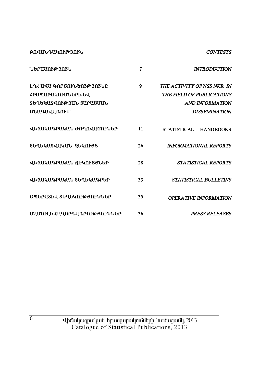**ԲՈՎԱՆԴԱԿՈՒԹՅՈՒՆ** 

#### **CONTESTS**

| <b>ՆԵՐԱԾՈՒԹՅՈՒՆ</b>                             | 7  | <b>INTRODUCTION</b>                                     |
|-------------------------------------------------|----|---------------------------------------------------------|
| Լ ՂՀ ԱՎԾ ԳՈՐԾՈՒՆԵՈՒԹՅՈՒՆԸ<br>ՀՐԱՊԱՐԱԿՈՒՄՆԵՐԻ ԵՎ | 9  | THE ACTIVITY OF NSS NKR IN<br>THE FIELD OF PUBLICATIONS |
| ՏԵՂԵԿԱՏՎՈՒԹՅԱՆ ՏԱՐԱԾՄԱՆ                         |    | AND INFORMATION                                         |
| ԲՆԱԳԱՎԱՌՈՒՄ                                     |    | <b>DISSEMINATION</b>                                    |
| ՎԻՃԱԿԱԳՐԱԿԱՆ ԺՈՂՈՎԱԾՈՒՆԵՐ                       | 11 | <b>STATISTICAL</b><br><b>HANDBOOKS</b>                  |
| ՏԵՂԵԿԱՏՎԱԿԱՆ ՁԵԿՈՒՅՑ                            | 26 | <b>INFORMATIONAL REPORTS</b>                            |
| ՎԻճԱԿԱԳՐԱԿԱՆ ՋԵԿՈՒՅՑՆԵՐ                         | 28 | <b>STATISTICAL REPORTS</b>                              |
| ՎԻՃԱԿԱԳՐԱԿԱՆ ՏԵՂԵԿԱԳՐԵՐ                         | 33 | <b>STATISTICAL BULLETINS</b>                            |
| ՕՊԵՐԱՏԻՎ ՏԵՂԵԿՈՒԹՅՈՒՆՆԵՐ                        | 35 | OPERA TIVE INFORMA TION                                 |
| ՄԱՄՈՒԼԻ ՀԱՂՈՐԴԱԳՐՈՒԹՅՈՒՆՆԵՐ                     | 36 | <b>PRESS RELEASES</b>                                   |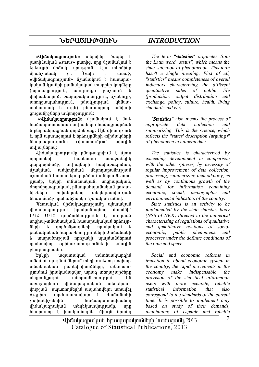#### **ܺð²ÌàôÂÚàôÜ** *INTRODUCTION*

**«Վիճակագրություն»** տերմինը ծագել է iuunhuuluud «status» puunha, nnn <u>G</u>auduuluud F talan iph dhóiuli, nompioini Uu intountion umuni shin di unung. **«***iháwiwannipiniû» G*/*wGwinini t hwwwnw-* $\lim_{\theta \to 0}$  in the pure in the interest in the inner in the inner  $(u$ mnunnnn $\mathbf{p}$ ini $\hat{a}$ , unnini $\hat{a}$ ib nu $\mathbf{p}$ hini $\hat{a}$   $\hat{b}$  $\psi$ hhuu Gwynia, pwnwpwyw Gnipinia, úzwynip, unnnouuuuhntamili. pliulismatuili lihliuu-ٳϳñ¹³Ï ¨ ³ÛÉÝ) µÝáõó·ñáÕ ³Ù÷á÷ qnıquı Gh 2 Ghph wupnnonup pu G:

**«Վիճակագրություն»** նշանակում է նաև  $h$ uu $\hat{u}$ uunuunuunuun $\hat{u}$  indruu $\hat{u}$ hah huuluunuunuun lı nünhwünwquuu annonüpwq: U10 ahunupintü է, որն արտագոյում է երևույթների «վիճակների Gluunwannupintan (thwuunntan)»' pulutha und jun Gannd:

**ingua ingle 10 °C in province in the University Control** áÉáñïÝ»ñÇ ѳٻٳï ³é³ç³ÝóÇÏ aunouaunun, indiuiliah huiluipuonuli. ushulung unghuhung upanungungung ú *z*unuluu luunun buun nduu du uu huudt *zunu* pjuuip, tipyph indintuuljuid, unghujuljuid, danadanuanulaufi, pfiuunuhunufiuluufi omon-Gh Gunn pnyu Gnuynn untin tyung nep նկատմամբ պահանջարկի մշտական աճով:

Thanuluu Guhauluu annu min utunuluu Guhauluu Guhauluu Guhauluu Guhauluu Guhauluu Guhauluu Guhauluu Gu ihauyuu inug huuyuu duq dan dunugh' LL2 U40 qnpdnigtnipjnigg t, ninnyud unghuy-in Gintululu G, huulupululu qua talini p-Gtnh l anndnGpwaGtnh nnwhwhwG l pանակական hարաբերությունների ժամանակի և տարածության որոշակի պայմաններում nnulnnulnn onhümsuuhnupintuudinh puluuhu

pնութագրմանը։<br>Երկրի ազատական  $\n *Unl*inh uqumuluufuqniqniqii$ uliguuli պայմաններում տեղի ունեցող սոցիալin Guntau undia na kuningan kungkun pada kuning mangkun kungkun kungkun kungkun kungkun kungkun kungkun kungku pini Ghi huu waduu qilin unuq unti madan dhan uharmfinunhfi ufihnudhennipinifi bfi unuvualinu dhauluuanuluuli intintuundni juli und va bánha bánán a hunda analala  $6$ ?gnhu, unduluuhuuluun la duuluululuh *s*ափանիշներին hամապատասխանող վիճակագրական տեղեկատվությամբ, որը hնարավոր է իրականացնել միայն նրանց

*The term "statistics" originates from the Latin word "status", which means the state, situation of phenomenon. This term hasn't <sup>a</sup> single meaning. First of all, "statistics" means completeness of overall indicators characterizing the different quantitative sides of public life (production, output distribution and exchange, policy, culture, health, living standards and etc).* 

*"Statistics" also means the process of appropriate data collection and summarizing. This is the science, which reflects the "states' description (arguing)" of phenomena in numeral data* 

*The statistics is characterized by exceeding development in comparison with the other spheres, by necessity of regular improvement of data collection, processing, summarizing methodology, as well as by continuous growth of the demand for information containing economic, social, demographic and environmental indicators of the country.* 

*State statistics is an activity to be implemented by the state statistics body (NSS of NKR) directed to the numerical characterizing of regulations of qualitative and quantitative relations of socioeconomic, public phenomena and processes under the definite conditions of the time and space.* 

*Social and economic reforms in transition to liberal economic system in the country, the rapid movements in the economy make indispensable the provision of the statistical information users with more accurate, reliable statistical information that also correspond to the standards of the current time. It is possible to implement only based on study of their demands, maintaining of capable and reliable*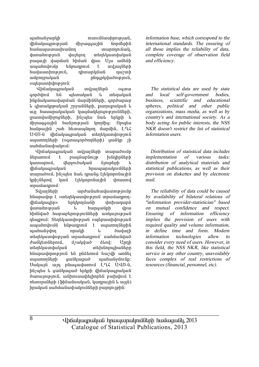$u$ u $u$ h $u$ ն $\delta$  $u$ n $b$ h $b$  and  $\delta$  $\delta$  and  $\delta$  and  $\delta$ վիճակագրության միջազգային նորմերին hwu www.munikali.com hwu www.munikali.com hwu wa mwaka wa wakatifu wa wakatifu wa wakatifu wa wakatifu wa wa w<br>Marejeo iliyofanyika wa wakatifu wa wakatifu wa wakatifu wa wakatifu wa wakatifu wa wakatifu wa wakatifu wa wa dumuhnipinia dujann inantaumduduu pwqwih ywnuu hhuu ynw: Uju wutuh ապահովումը ենթադրում է տվյայների  $h$ w $\psi$ uuuun $h$ n $\psi$  inii $\psi$  and  $\psi$  and  $\psi$  and  $\psi$  are  $\psi$  $u$ մբորջական above hinanlulu $\delta$ ություն owhnwuhynipinia:

Վիճակագրական տվյալներն օգտա annðunu til mtimuluuli u intinuluuli hfinfiuiluunuuluunfuufi ifuunfhfifiknh onnouunuun L qhmulmpuluud answeddinh, punupuluud L wi hwuwnwywywa ywquwythywnipinadth. munduun hong Gtnh, husutu Gul thunh L ungqua bulin iya din bilin din dike diyakan di hանրային *շ*ահ hետապնդող մարմին, ԼՂՀ UՎԾ-ն վիճակագրական տեղեկատվություն uyunnnutinh (oqunuqnnonnutinh) quu iln sh uuhuuuuhuuunui:

Lhawywqnwywa inyuyath mwnwdnin ներառում է բազմաբնույթ խնդիրների bwununnui, dtniniðwbwg Giniptinh վիճակագրական hpwwwpwynu munuðniu, hūyutu aul nnuag titunnnaunha lınh *s*ütnnu luun tıtlunnnu in inunnu unuuunnuu:

Sy <sub>l</sub>uy Gtph both who wish wish wish the synthesis hնարավոր է «տեղեկատվություն տրամադրողdh Guyuqhn» tn unnua in the humana dunun in pungu in angawa in di hhu Gujuð hunuptinni pin Gutinh unluu ini pin G nbupnui: Stnbywundnipjul owthwunhdnipjul  $u$ ասահովումն ենթարոում է սաստողներին uzuhudelnn nnulh li duyluqh intintuundup juli inpuutunnit uuhuulidud dwuuthuu Ghuuthu (i) wuutu waa ku dhah Chah una in manga kalendar ini dan karatan dan akan dan karatan dari sebagai dan karatan dan karatan dalam kalendar<br>Ini dalam karatana ia karatana dalam kalendar dan karakatan dalam kalendar dan kalendar dan karata dalam kalen<br> hնարավորություն են ընձեռում hաշվի առնել uyunnnuthh quu ay quahuqiyunutha quahuqiy Uwywia win pawawywnni LLL UU6-a, ինչպես և ցանկացած երկրի վիճակագրական dunumppmű, wűhmuwhtihnntű pwhymů t  $n$ եսուրսների (ֆինանսական, կադրային և այլն) hnwywG uwhմwGwyhwyntGGtnh pwnnntphG:

*information base, which correspond to the international standards. The ensuring of all those implies the reliability of data, complete coverage of observation field and efficiency.* 

*The statistical data are used by state and local self-government bodies, business, scientific and educational spheres, political and other public organizations, mass media, as well as by country's and international society. As <sup>a</sup> body acting for public interests, the NSS NKR doesn't restrict the list of statistical information users.* 

*Distribution of statistical data includes implementation of various tasks: distribution of analytical materials and statistical publications, as well as their provision on diskettes and by electronic mail.* 

*The reliability of data could be caused by availability of bilateral relations of "information provider-statistician" based on mutual confidence and respect. Ensuring of information efficiency implies the provision of users with required quality and volume information, in define time and form. Modern information technologies allow to consider every need of users. However, in this field, the NSS NKR, like statistical service in any other country, unavoidably faces complex of real restrictions of resources (financial, personnel, etc).*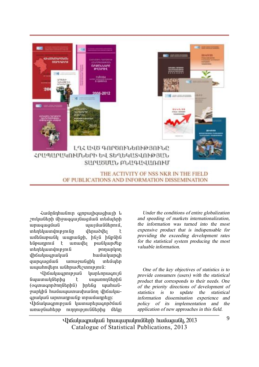

#### THE ACTIVITY OF NSS NKR IN THE FIELD OF PUBLICATIONS AND INFORMATION DISSEMINATION

Համընդիանուր գյոբայիցացիայի և *z*nıluu ütanh uhowqawı Gwaya ürküminh www.window.com unang inin mangkalan untuk wutu wuli wunungh, haya hapaha tugun te indultu bullundup untan bilang menggalakan di sebanjak di perangan pengerakan pertama di alah sejarah sebanjakan sebanjak dalam վիճակագրական hամակարգի qupquguuli unuyulighy intiuph www.hndunu wuhnwdb2wnnpinu

Kháwywqnnipjwa ywplnpwqnija նպատակներից է սպառողներին (oqunuqnpònnuthanhui) hptuiq yuuhuuuiywpyha hwuwwwwwwwwm yhawywqnwywG wnwwnpwGp inpuitunphin:

Վիճակագրության կատարելագործման unuy Guhtin ninni hafataha utin

*Under the conditions of entire globalization and speeding of markets internationalization, the information was turned into the most expensive product that is indispensable for providing the exceeding development rates for the statistical system producing the most valuable information.* 

*One of the key objectives of statistics is to provide consumers (users) with the statistical product that corresponds to their needs. One of the priority directions of development of statistics is to update the statistical information dissemination experience and policy of its implementation and the application of new approaches in this field.*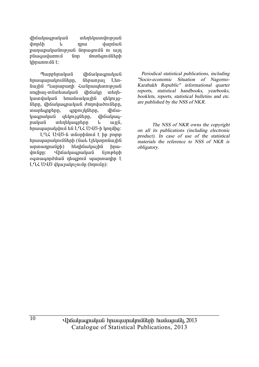վիճակագրական տեղեկատվության **uhnnáh** dunuu nnu թաղաթականության նորացումն ու այդ բնագավառում **Gnn** մոտեզումների uhnunnung t:

Պարբերական *dh* Gwluan wlu G **h**pwww.pwynutherp. *Chpwnywy*  $L<sub>tn</sub>$ նային Ղարաբաղի Հանրապետության սոցիալ-տնտեսական վիճակը տեղեկատվական եռամսակային ghynigները, վիճակագրական ժողովածուները, muntanptnn, anpnı ılı Gunn, uhowկագրական gtynyggtnn, dhawywanuuluufi wantuwantnn  $\mathbf{u}$  $u<sub>H</sub>$  $h$ nuuuunuuuunuu tu LA $\zeta$  UU $\delta$ -h unnung

LQ2 UQ6-ն տնօրինում է իր բոլոր hnwwwnwynigath (Gwy Eithynnawiha)  $unununu$  $)$  $\frac{1}{2}$  $\frac{1}{2}$ hnudniupn: *<u>Uhauluuanuluuli</u>*  $ûn$ օգտագործման դեպքում պարտադիր է LL UUO dhu judnsniun (hnniun):

Periodical statistical publications, including "Socio-economic Situation of Nagorno-Karabakh Republic" informational quarter reports, statistical handbooks, yearbooks, booklets, reports, statistical bulletins and etc. are published by the NSS of NKR.

The NSS of NKR owns the convright on all its publications (including electronic product). In case of use of the statistical materials the reference to NSS of NKR is obligatory.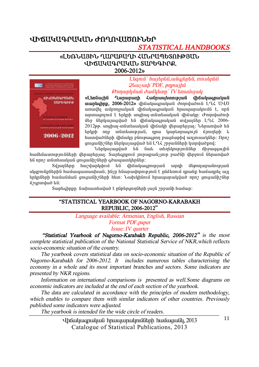### **ՎԻՃԱԿԱԳՐԱԿԱՆ ԺՈՂՈՎԱԾՈՒՆԵՐ**

# *STATISTICAL HANDBOOKS*

#### «ԼԵՌՆԱՅԻՆ ՂԱՐԱԲԱՂԻ ՀԱՆՐԱՊԵՏՈՒԹՅԱՆ *<u>UÞAUYUQPUYUL SUPGQPPQ</u>* **2006-2012¦**



 $L$ *bqnı G`hwi bnbû, wûqi bnbû, nni ubnbû*  $Q$ *lauswh PDF*, *pnpwtha ÂáÕ³ñÏÙ³Ý Å³ÙÏ»ïÁ` IV »é³ÙëÛ³Ï* 

«Languing Qunununh Zugnumanningug Jhoulungulung **inumbahnp, 2006-2012**» iho wind wind dennumbahnd LLK UUO unuulti uu upnno uu uu uhaanuu uu hanuuunuu unuunuu t. nnu ununuanının terilinden yağlan kurulu ile yakanların de yanan kuruman kuru մեջ ներկայացված են վիճակագրական տվյայներ L-L 2006- $2012$ pp. unghuy-ingintuuluugu ilhowuh iltinuptinuu: Utnunduid tig tnunh nno muntunupjum, nnu umhnnugnuju onnutnh u  $h$ ատվածների վիճակը բնութագրող բազմաթիվ աղյուսակներ։ Որո $\eta$ omoulih film filmlunuoluid bli I 92 moulifilmh lunnluid pnd:

binyungyar ta Gul mintynemulitan ungugaunhu <u>hամեմատությունների վերաբերյալ։ Տարեգրքում յուրաքանչյուր բաժնի վերջում ներառված</u>  $t$ նն որոշ տնտեսական գուցանիշների գծապատկերներ:

Syluyütinn huzylunlyinu ta yhoulyuqnnip jua unnh utpnnupuuanip jua uligeni նթներին համապատասխան, ինչը հնարավորություն է ընձեռում դրանթ համադրել այլ  $\bm{t}$ ոկոների իամանման օուզանիշների իետ։ Նախկինում իրապարակված որըշ օուզանիշներ  $δ$ <sub>2</sub> *α p*unվ *μ* $δ$  *k li*:

Suntahnpn նախատեսված է ընթերցողների լայն շրջանի համար:

#### **"STATISTICAL YEARBOOK OF NAGORNO-KARABAKH REPUBLIC, 2006-2012"**

*Language available: Armenian, English, Russian* 

*Format PDF,paper* 

*Issue: IV quarter* 

 *"Statistical Yearbook of Nagorno-Karabakh Republic, 2006-2012" is the most complete statistical publication of the National Statistical Service of NKR,which reflects socio-economic situation of the country.* 

*The yearbook covers statistical data on socio-economic situation of the Republic of Nagorno-Karabakh for 2006-2012. It includes numerous tables characterising the economy in <sup>a</sup> whole and its most important branches and sectors. Some indicators are presented by NKR regions.* 

*Information on international comparisons is presented as well.Some diagrams on economic indicators are included at the end of each section of the yearbook.* 

*The data are calculated in accordance with the principles of modern methodology, which enables to compare them with similar indicators of other countries. Previously published some indicators were adjusted.* 

*The yearbook is intended for the wide circle of readers.* 

Elhouuluuqnuuluu hmuuunuulmuutah huuuquuulu, 2013 Catalogue of Statistical Publications, 2013

11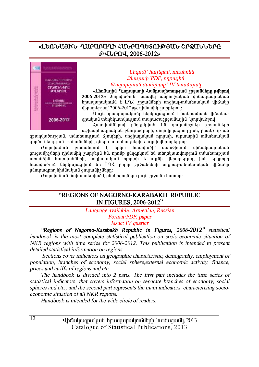#### «ԼԵՌՆԱՅԻՆ ՂԱՐԱԲԱՂԻ ՀԱՆՐԱՊԵՏՈՒԹՅԱՆ ՇՐՋԱՆՆԵՐԸ **Âìºðàì, 2006-2012¦**



#### $L$ *bqnı* $G$ *` hwibnbû*, *nniubnbû*  $Q$ *lauswah PDF*, *pnpwtha <i><u>∂mnunluudi duullumn' IV* tanuuluudi</u>

«Լեռնային Ղարաբաղի Հանրապետության շրջանները թվերով

**2006-2012**» *dnnnywòni* winnylla wunnywywa yhówywanywa hnuuuunuunuuti t LQ3 2n9wuutun unghuu-inuutuuuuuuuuuuuuuuut dtnunbniun 2006-2012pp. nhuuunh yunptinnu:

Unija hpwywpwynin Gtpywjwgania t awapwawa yhawywanuyuu intantyuunyan pina inunudu mayayaya iyang dan dan danging.

ZwunywdGthny nGnanyywd ta qniqwGh2Gth 2n9wGGthh  $u$ շխարհագրական բնութագրերի, ժողովրդագրության, բնակչության

gpwnվածnւթյան, տնտեսության ճյուղերի, սոցիալական ոյորտի, արտաքին տնտեսական annðní Ghnipjuí, \$hGwGuGhh, aghph ní uwywa Ghnh u wijgh yhnwebniwi:

Ժողովածուն բաժանվում է երկու հատվածի՝ առաջինում վիճակագրական ցուցանիշների դինամիկ շարքերն են, որոնք ընդգրկում են տեղեկատվություն տնտեսության առանձին հատվածների, սոցիալական ոլորտի և այլնի վերաբերյալ, իսկ երկրորդ hատվածում ներկայացվում են ԼՂՀ բոյոր շրջանների սոցիալ-տնտեսական վիճակը pնութագրող hիմնական գուցանիշները։

 $\sigma$ nnnywontu Gwhuwntuywo t naptangnnath nung prowah hwuwn:

#### **"REGIONS OF NAGORNO-KARABAKH REPUBLIC IN FIGURES, 2006-2012"**

*Language available: Armenian, Russian* 

*Format:PDF, paper* 

*Issue: IV quarter* 

*"Regions of Nagorno-Karabakh Republic in Figures, 2006-2012" statistical handbook is the most complete statistical publication on socio-economic situation of NKR regions with time series for 2006-2012. This publication is intended to present detailed statistical information on regions.* 

*Sections cover indicators on geographic characteristic, demography, employment of population, branches of economy, social sphere,external economic activity, finance, prices and tariffs of regions and etc.* 

*The handbook is divided into 2 parts. The first part includes the time series of statistical indicators, that covers information on separate branches of economy, social spheres and etc., and the second part represents the main indicators characterising socioeconomic situation of all NKR regions.* 

*Handbook is intended for the wide circle of readers.* 

Uhauluugnuluua hnuuununulmuath huuuquall, 2013 Catalogue of Statistical Publications, 2013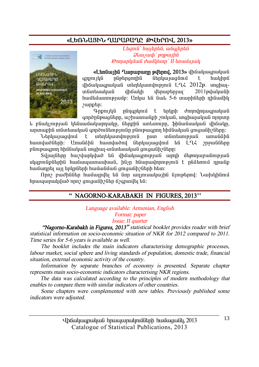### «ԼԵՌՆԱՅԻՆ ՂԱՐԱԲԱՂԸ ԹՎԵՐՈՎ, 2013»



 $L$ *banı* $\hat{a}$ *` hunbnbû, wûarbnbû*  $\mathcal{Q}$ *lauswh* ` *pnpwtha ÂáÕ³ñÏÙ³Ý Å³ÙÏ»ïÁ` II »é³ÙëÛ³Ï* 

«L**tnuujhu Qupupunn putnul, 2013**» վիճակագրական anpnulu nüptnannhü ütnluyuya inu t hulyhná  $\mu$ ang ilgah islam tinggalang tenggalang tenggalan dipendikan lang dipendikan tenggalan di pendikan lang dipendikan lang dipendikan lang di dipendikan lang di didang lang di dipendikan lang di didang di didang di didang ingintuuluud yhouluh ytnuptinuu 2011 puuluu il hwutuwnny puun : Unluu tu Guul 5-6 munhutnh nhuwuhl zunphn:

Honigh Thùnghan E and denging dan Angeluka annðnúpung litinn, un hunnu liph myndi, ung hunnu litinn m

և բնակչության կենսամակարդակը, ներքին առևտուրը, ֆինանսական վիճակը, unınıuphli ınliıntıuuluuli onnðnılitnı pınılin plinı puonnn hhúliuluuli qnıquılih oltınn:

Ներկայազվում է տեղեկատվություն ըստ տնտեսության առանձին hատվածների։ Առանձին hատվածով ներկայազվում են Լ-ՂՀ շրջանները pünipwannn hhuuyuun unghui-inumbuuyuun qniquuun otann:

Sul iul Gama bang bağlanda bağlan di dhan birinin birinin bağlandan birinin birinin birinin birinin b uligeni Gpütinh Goliniya haya haya hang biliyin bilinin karan dan karan dan di dinin dine dine dine dine dine hամադրել այլ երկրների hամանման ցուցանիշների hետ:

Nրn բաժիններ համայրվել են նոր աղյուսակային նյութերով։ Նախկինում hnwww.muluquwo npn qniqwundh and ang muluq but:

#### **" NAGORNO-KARABAKH IN FIGURES, 2013''**

*Language available: Armenian, English Format: paper Issue: II quarter* 

 *"Nagorno-Karabakh in Figures, 2013" statistical booklet provides reader with brief statistical information on socio-economic situation of NKR for 2012 compared to 2011. Time series for 5-6 years is available as well.* 

*The booklet includes the main indicators characterising demographic processes, labour market, social sphere and living standards of population, domestic trade, financial situation, external economic activity of the country.* 

*Information by separate branches of economy is presented. Separate chapter represents main socio-economic indicators characterising NKR regions.* 

*The data was calculated according to the principles of modern methodology that enables to compare them with similar indicators of other countries.* 

*Some chapters were complemented with new tables. Previously published some indicators were adjusted.*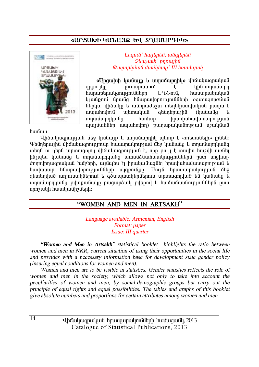#### «UPSUI LITTLES FU SAUUTIPAL



L tanı G'hurtanta an dartata  $\mathcal{Q}$ *lausuuh* 'pnpunha Թողարկման ժամկետը` III եռամսյակ

«Ungwhih huliwip l ungwumhly» վիճակագրական anpnulin muunuumu F uhu-unuuuun LQ2-mű. հարաբերակցությունները hwuwnwywywG huu Gpnu Gpuu Gq haupuu hpnu buu Gabaan ogunu qapduu G ներկա վիճակը և անհրաժեշտ տեղեկատվական բազա է աետական գենդերային *www.hndnu* (luuliulia  $\mathbf{1}_{1}$  $h$ <sub>u</sub> $h$ <sub>u</sub> $h$ unnuuunnuuua hnuuluhuuluuunnupuuG պայմաններ ապահովող) թաղաթականության մշակման

hwuun:

Վիճակագրության մեջ կանայթ և տղամարդիկ պետք է «տեսանելի» լինեն։ Գենդերային վիճակագրությունը իասարակության մեջ կանանց և տրամարդկանց տերն ու ռեոն արտացոյող վիճակացողւթյուն է, որը թույլ է տայիս իաշվի առնել ինչպես կանանց և տղամարդկանց առանձնահատկություններն ըստ սոցիալժողովրդագրական խմբերի, այնպես էլ իրականացնել իրավահավասարության և հավասար հնարավորությունների սկզբունքը։ Մույն հրատարակության մեջ ցետեղված աղյուսակներում և գծապատկերներում արտացոլված են կանանց և տղամարդկանց թվաքանակը բացարձակ թվերով և համամասնություններն ըստ որոշակի hատկանիշների:

#### "WOMEN AND MEN IN ARTSAKH"

Language available: Armenian, English Format: paper Issue: III quarter

"Women and Men in Artsakh" statistical booklet highlights the ratio between women and men in NKR, current situation of using their opportunities in the social life and provides with a necessary information base for development state gender policy *(insuring equal conditions for women and men).* 

Women and men are to be visible in statistics. Gender statistics reflects the role of women and men in the society, which allows not only to take into account the peculiarities of women and men, by social-demographic groups but carry out the principle of equal rights and equal possibilities. The tables and graphs of this booklet give absolute numbers and proportions for certain attributes among women and men.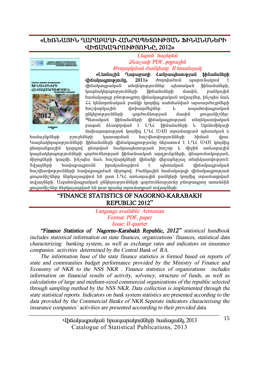#### **§ÈºèÜ²ÚÆÜ Ô²ð²´²ÔÆ вÜð²äºîàôÂÚ²Ü üÆÜ²ÜêܺðÆ**  *<u>UÞAUYUԳՐՈՒԹՅՈՒՆԸ, 2012»</u>*



#### L*bamû` hwibnbû*  $Q$ *luusuuh PDF*, *pnpwyhû ÂáÕ³ñÏÙ³Ý Å³ÙÏ»ïÁ` II »é³ÙëÛ³Ï*

«Languing Quinupuinh Zugnuilunnipiug Shauguganh **íháwhwanniejniún, 2011»** dnnndwðnili wwnniliwyniú t  $\frac{1}{10}$ մակագոական տեղեկություններ աետական Ֆինանսների, կազմակերպությունների ֆինանսների մասին, բանկային hամակարգը բնութագրող վիճակագրական տվյալներ, ինչպես նաև كرة Jaliunnfu yulikh linniha yuhuniyiyi ununundnup Gahh .<br>hweywphywph inhumphyliph in www.hnyluqpwyw. րնկերությունների գործունեության մասին գուցանիշներ։ Պետական ֆինանսների վիճակագրության տեղեկատվական pwgwG shuudnndwd t LAL ShGwGuGtnh h tlnGnGhluuth  $\lim$ hunnunnuənu $\lim$  İnnı $\lim$  I $\leq$  III $\delta$  ınnu $\lim$ nunnu $\delta$  urbunuluu $\theta$  ال

<u>hամայնքների բյուջեների կատարման hաշվետվությունների հիման վրա։</u> Կազմակերպությունների ֆինանսների վիճակագրությունը ներառում է ԼՂՀ ԱՎԾ կողմից nGunnwGpwihG liwnand nGunnlwð hwGnwwbunnieiwG hinzin k űhohG wnkunnwihG կազմակերպությունների գործունեության Ֆինանսական արդյունթների, վճարունակության, űhongütinh կազմի, ինչպես նաև hաշվարկների վիճակի վերաբերյալ տեղեկատվություն։  $S$ վյայների հավաքագրումն հրականացվում է աետական վիճակագրական hwithmynnu altının huyunmanın ünyanını: Audywiha huyulunan yhayyung hud gnigwüh/ütinn ütnliwiwgylni tu nun L·Q. wnlinnwihü pwülitinh linnühg innwuwnnylwd ındıyı (ülah): UwwhndwanwhwG nGhlanne mu Gülah annðnu Ganue mu fin e Gine evanni unwüð ha oniquilah (ilingka) and in the bir na manda in the individual in the individual in the individual in the individual in the individual in the individual in the individual in the individual in the individual in the individu

#### **"FINANCE STATISTICS OF NAGORNO-KARABAKH REPUBLIC 2012"**

*Language available: Armenian Format: PDF, paper Issue: II quarter* 

*"Finance Statistics of Nagorno-Karabakh Republic, 2012" statistical handbook includes statistical information on state finances, organizations' finances, statistical data characterizing banking system, as well as exchange rates and indicators on insurance companies` activities determined by the Central Bank of RA.* 

*The information base of the state finance statistics is formed based on reports of state and communities budget performance provided by the Ministry of Finance and Economy of NKR to the NSS NKR . Finance statistics of organizations includes information on financial results of activity, solvency, structure of funds, as well as calculations of large and medium-sized commercial organizations of the republic selected through sampling method by the NSS NKR. Data collection is implemented through the state statistical reports. Indicators on bank system statistics are presented according to the data provided by the Commercial Banks of NKR.Seperate indicators characterising the insurance companies` activities are presented accourding to their provided data.*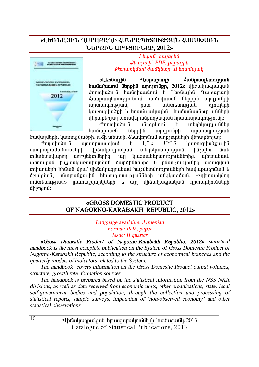#### **§ÈºèÜ²ÚÆÜ Ô²ð²´²ÔÆ вÜð²äºîàôÂÚ²Ü Ð²Ø²Ê²èÜ ܺðøÆÜ ²ð¸ÚàôÜøÀ, 2012¦**



L*tamû`hwitntû*  $Q$ *lauswh* PDF, pnpwtha *ÂáÕ³ñÏÙ³Ý Å³ÙÏ»ïÁ` II »é³ÙëÛ³Ï* 

«Ltogunha Qunununh Zugnumbunna **huutuluung Gtnphg unnimgpn, 2012**» վիճակագրական dnnnywoni hwanhuwani t Ltnawiha Lunwewnh Հանրապետությունում համախառն ներքին արդյունքի unnunnnne juli, num inlintuni juli Kinintinh luunniguluid ph la bhuunguluu iha huunguluu manaana huunnigulah <u>վերաբերյալ առավել ամբողջական հրատարակությունը։</u>

d the mandration of the international function of the mandration of the definition of the contractor of the de hwuwhwang Gthpha wnninigph wnywnnini ðավայների, կառուցվածքի, աճի տեմաի, ձևավորման արբյուրների վերաբերյալ։

Ժողովածուն պատրաստվում է L-ՂՀ ԱՎԾ կառուցվածթային uտորաբաժանումների վիճակագրական տեղեկատվության, ինչպես նաև  $i$ մմտեսավարող սուբյեկտներից, այլ կազմակերպություններից, պետական, տեղական ինքնակառավարման մարմիններից և բնակչությունից ստացված տվյալների հիման վրա՝ վիճակագրական հաշվետվությունների հավաքագրման և u32uuunii 10. hummaanii 6 maarii 10. hummaanii 10. hummaanii 10. samaanii 11. samaanii 11. samaanii 11. samaan un Guntum piudi» inwhur dun die handen bir ülken bir dine kun dine naman dine ölen bir ÙÇçáóáí:

#### **§GROSS DOMESTIC PRODUCT OF NAGORNO-KARABAKH REPUBLIC, 2012»**

*Language available: Armenian Format: PDF, paper Issue: II quarter* 

*§Gross Domestic Product of Nagorno-Karabakh Republic, 2012¦ statistical handbook is the most complete publication on the System of Gross Domestic Product of Nagorno-Karabakh Republic, according to the structure of economical branches and the quarterly models of indicators related to the System.* 

*The handbook covers information on the Gross Domestic Product output volumes, structure, growth rate, formation sources.* 

*The handbook is prepared based on the statistical information from the NSS NKR divisions, as well as data received from economic units, other organizations, state, local self-government bodies and population, through the collection and processing of statistical reports, sample surveys, imputation of 'non-observed economy' and other statistical observations.* 

> Uhauluugnuluua hnuuununulmuath huuuquall, 2013 Catalogue of Statistical Publications, 2013

16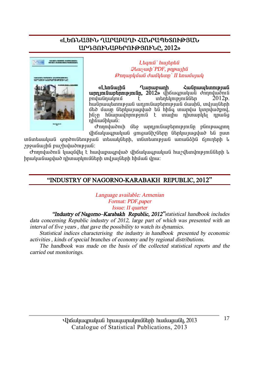### «ԼԵՌՆԱՅԻՆ ՂԱՐԱԲԱՂԻ ՀՄՆՐԱՊԵՏՈՒԹՅՄՆ **²ð¸Úàôܲ´ºðàôÂÚàôÜÀ, 2012¦**



 $L$ *banıli` hwibnbli*  $Q$ *lauswah PDF*, *pnpwtha <i><u>∂mnunluu í duu llamn</u>* II bnuu vuul

«Lindiunha Quinuinunh Zuidinuiun binni b **³ñ¹Ûáõݳµ»ñáõÃÛáõÝÁ, 2012¦** íÇ׳·ñ³Ï³Ý ÅáÕáí³ÍáõÝ t unantum e indítion hանրապետության ադյունաբերության մասին, տվյայների մեծ մասը ներկայացված են hինգ տարվա կտրվածքով, ինչը հնարավորություն է տալիս դիտարկել դրանց nhuwuhluuu:

d mpaluðnu úts uppunluptpnuppung plinguann tho ulu anuluu quandha Ghilunuqua ta nun

in in kultu kiriye biyinin biliye kirin kultu kultu kultu kultu kultu kultu kultu kultu kultu kultu kultu kult  $2n$ ջանա $1h$ ն բա $2h$ վածության:

 $\sigma$ ողովածուն կազմվել է հավաքագրված վիճակագրական հաշվետվությունների և իրականացված դիտարկումների տվյայների հիման վրա։

#### **"INDUSTRY OF NAGORNO-KARABAKH REPUBLIC, 2012"**

*Language available: Armenian Format: PDF,paper Issue: II quarter* 

*"Industry of Nagorno–Karabakh Republic, 2012"statistical handbook includes data concerning Republic industry of 2012, large part of which was presented with an interval of five years , that gave the possibility to watch its dynamics.* 

 *Statistical indices characterising the industry in handbook presented by economic activities , kinds of special branches of economy and by regional distributions.* 

 *The handbook was made on the basis of the collected statistical reports and the carried out monitorings.*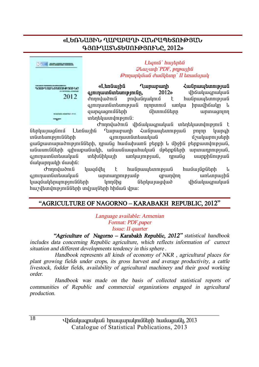### «ԼԵՌՆԱՅԻՆ ՂԱՐԱԲԱՂԻ ՀՄՆՐԱՊԵՏՈՒԹՅԱՆ **¶ÚàôÔ²îÜîºêàôÂÚàôÜÀ, 2012¦**



 $L$ *banıli` hwibnbli*  $Q$ *lauswah PDF*, *pnpwtha ÂáÕ³ñÏÙ³Ý Å³ÙÏ»ïÁ` II »é³ÙëÛ³Ï* 

«L<del>an</del>giunha Quinununh Zuighuiun binni bila **qmnuununbunuppnun, 2012**» վիճակագրական dnnndwðni uð endwyndinni en hufingar þeir þeir ein ajninuunduntumpjud ninnuniu unluu hnuulhoulin li ½³ñ·³óáõÙÝ»ñÇ ÙÇïáõÙÝ»ñÁ ³ñï³óáÉáÕ unundupinua:

 $\sigma$ nnnywðni yhówywanwywa inthywwynig t ներկայացնում Lեռնային Ղարաբարի Հանդապետության բոյոր կարգի un miraihi ikiyaha ikiyaha biyatan ku maana amanun duku harang termenang amala di alah biyatan biyatan biyatan quu Gpuun un un bhullahh, nn ul q huu ul un bu bhah kuhan pun que que pun que que de poste un pun que que la անասունների գլխաթանակի, անասնապահական մթերթների արտադրության, ajninwingintuwhwa inthighliwih wikiwiniejiwa, nnwaa uwiphanejiwa uwunnwuh uwuha:

Ժողովածուն կազմվել է հանրապետության համայնքների և ajninuunliuhtuuluuli unuunninipiuuli qpunilin untunnuihli <u>կազմակերպությունների կողմից ներկայազված վիճակագրական</u> hweltundni pini Gitinh ind juni Gitinh hhumu inu:

#### **"AGRICULTURE OF NAGORNO – KARABAKH REPUBLIC, 2012"**

*Language available: Armenian Format: PDF,paper Issue: II quarter* 

 *"Agriculture of Nagorno – Karabakh Republic, 2012" statistical handbook includes data concerning Republic agriculture, which reflects information of currect situation and different developments tendency in this sphere .* 

 *Handbook represents all kinds of economy of NKR , agricultural places for plant growing fields under crops, its gross harvest and average productivity, <sup>a</sup> cattle livestock, fodder fields, availability of agricultural machinery and their good working order.* 

 *Handbook was made on the basis of collected statistical reports of communities of Republic and commercial organizations engaged in agricultural production.*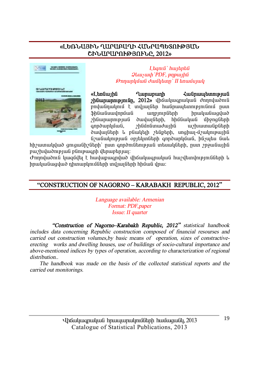#### «ԼԵՌՆԱՅԻՆ ՂԱՐԱԲԱՂԻ ՀԱՆՐԱՊԵՏՈՒԹՅԱՆ ՇԻՆԱՐԱՐՈՒԹՅՈՒՆԸ, 2012»



Lhanıli' hwihnhli **Qluusuuh** PDF, pnpuuha **Թողարկման ժամկետը` II եռամսյակ** 

«Ltnuunhu **Tumunumh** *<u>Հանրապետության</u> hümmunipiniun, 2012»* վիճակագրական ժողովածուն **Shliwliuwinnuwli umpmmmundinh** hnuluuluuqluud շինարարության ծավայների, հիմնական միջոցների qnndwnluuua, *2hüvinümwdwihü* w/huumuuiputnh ծավայների և բնակելի շենքերի, սոցիալ-մշակութային նշանակության օբյեկտների գործարկման, ինչպես նաև

 $hh$ շատակված ցուցանիշների՝ ըստ գործունեության տեսակների, ըստ շրջանային բաշխվածության բնութագրի վերաբերյալ։

Ժողովածուն կազմվել է հավաթագրված վիճակագրական հաշվետվությունների և իրականազված դիտարկումների տվյալների հիման վրա։

#### "CONSTRUCTION OF NAGORNO - KARABAKH REPUBLIC, 2012"

Language available: Armenian Format: PDF, paper Issue: II quarter

"Construction of Nagorno-Karabakh Republic, 2012" statistical handbook includes data concerning Republic construction composed of financial resourses and carried out construction volumes, by basic means of operation, sizes of constractiveerecting works and dwelling houses, use of buildings of socio-cultural importance and above-mentioned indices by types of operation, according to characterization of regional distribution

The handbook was made on the basis of the collected statistical reports and the carried out monitorings.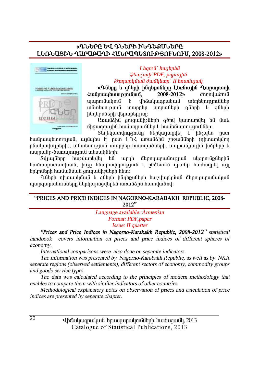#### **§¶ÜºðÀ ºì ¶ÜºðÆ ÆÜ¸ºøêܺðÀ**  LԵՌՆԱՅԻՆ ՂԱՐԱԲԱՂԻ ՀԱՆՐԱՊԵՏՈՒԹՅՈՒՆՈՒՄ, 2008-2012»



 $L$ *banı G`hwibnbû*  $Q$ *luusuuh* `PDF, *pnpwihû ÂáÕ³ñÏÙ³Ý Å³ÙÏ»ïÁ` II »é³ÙëÛ³Ï* 

**§¶Ý»ñÁ ¨ ·Ý»ñÇ ÇÝ¹»ùëÝ»ñÁ È»éݳÛÇÝ Ô³ñ³µ³ÕÇ**   $\frac{2008-2012}{$  *c*hnnyworld *turnsports*. 2008-2012 www.muliwy.nuliwahii interpretacional interpretacional terminata internetacional internetacional webserved inte in Guntamen ing ing iang menggalakan kalen ing dina menggalakan kalen ang sebagai antara dina dina dina dina d hüntipuütinh iltinuntanım:

Unwüðhü gnigwühzütinh aðni ywinwinigh tú úwu under in held and in the band of the disposition in the union of the union of the interest of the union of the

Stintyuunun pinu Genyunungut t hasutu nun hանրապետության, այնպես էլ ըստ ԼՂՀ առանձին շրջանների (դիտարկվող pնակավայրերի), տնտեսության տարբեր հատվածների, ապրանքային խմբերի և uwmuGp-ծwnwmppnιG wtwwyGtph:

 $S$ վյայները հաշվարկվել են արդի մեթոդաբանության սկզբունքներին <u>hամապատասխան, ինչը hնարավորություն է ընձեռում դրանք համադրել այլ</u> tınynütinh hwu wu du qonqwu helin htim:

Գների դիտարկման և գների ինդեքսների հաշվարկման մեթոդաբանական ujungwewüntüütne ütelywaylta tü wewüähü hwunywòny:

| "PRICES AND PRICE INDICES IN NAGORNO-KARABAKH REPUBLIC, 2008- |  |
|---------------------------------------------------------------|--|
| 2012"                                                         |  |

*Language available: Armenian Format: PDF,paper Issue: II quarter* 

*"Prices and Price Indices in Nagorno-Karabakh Republic, 2008-2012" statistical handbook covers information on prices and price indices of different spheres of economy.* 

*International comparisons were also done on separate indicators.* 

*The information was presented by Nagorno-Karabakh Republic, as well as by NKR separate regions (observed settlements), different sectors of economy, commodity groups and goods-service types.* 

*The data was calculated according to the principles of modern methodology that enables to compare them with similar indicators of other countries.* 

*Methodological explanatory notes on observation of prices and calculation of price indices are presented by separate chapter.*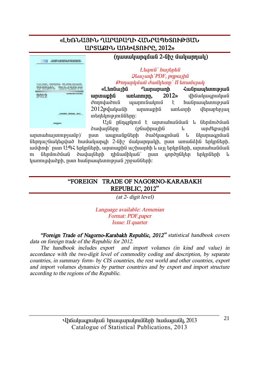#### «ԼԵՌՆԱՅԻՆ ՂԱՐԱԲԱՂԻ ՀՄՆՐԱՊԵՏՈՒԹՅՄՆ **UPSURFG UNG 4SN PPP. 2012**



 $(n$ www.lumqutufi 2-Gh 
updator Bushman

#### L**baní** bultpbû  $\mathcal{Q}$ *lauswah* `PDF, pnpwyhû *ÂáÕ³ñÏÙ³Ý Å³ÙÏ»ïÁ` II »é³ÙëÛ³Ï*

«Languing Quinuinunh Zuignuinuninining **unuuphն unlunning, 2012**» վիճակագրական dnnnyluðni ujunni ulunni í hufinu ulunni pjuf 2012ª Bulu bulin in an an t-ìr an t-ìr an 12012° an t-ìr an 12012° an t-ìr an t-ìr an t-ìr an t-ìr an t-ìr an  $un$ tuhang  $un$ ian  $\lim$ 

U10 nGnanynu t wnunwhwGuwG & GtnunduG ծավայները (բնաիրային և արժեքային

unınıuhuyınnıpıwûp)` nun wunuuGpGtnh dwdywanûwG k GlunnuqnûwG ներդաշնակեցված համակարգի 2-նիշ մակարդակի, ըստ առանձին եոկոների, ամփոփ` ըստ ԱՊՀ երկըների, արտաքին աշխարհի և այլ երկըների, արտահանման nı ներմուծման ծավայների դինամիկան՝ ըստ գործընկեր երկրների և luunniquuð ph, nuin huil nuu tunni pjuli apsullitinh:

#### **"FOREIGN TRADE OF NAGORNO-KARABAKH REPUBLIC, 2012"**

*(at 2- digit level)* 

*Language available: Armenian Format: PDF,paper Issue: II quarter* 

*"Foreign Trade of Nagorno-Karabakh Republic, 2012" statistical handbook covers data on foreign trade of the Republic for 2012.* 

*The handbook includes export and import volumes (in kind and value) in accordance with the two-digit level of commodity coding and description, by separate countries, in summary form- by CIS countries, the rest world and other countries, export and import volumes dynamics by partner countries and by export and import structure according to the regions of the Republic.*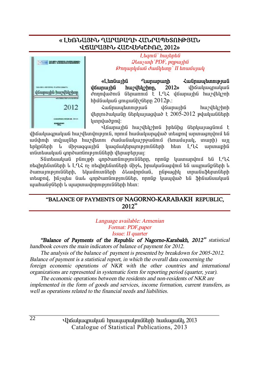#### **§ ȺèÜ²ÚÆÜ Ô²ð²´²ÔÆ вÜð²äºîàôÂÚ²Ü**  *<u>UKUPU3Pb ՀԱՇՎԵԿՇԻՌԲ. 2012»</u>*



 $L$ *banı G`hwibnbû*  $\mathcal{Q}$ *lauswah* `PDF, pnpwyhû *ÂáÕ³ñÏÙ³Ý Å³ÙÏ»ïÁ` II »é³ÙëÛ³Ï* 

«Լեռնային **Ղաղարարի Հանոսաերության ifaunuina huzibuzhan. 2012**» infauluisquility dnnnyudnu Ghnunnu t LLL younung huzybynh  $h$ իմնական զուցանի $\chi$ ները  $2012$ թ.:

ZwGnwytunnyenuG younwiha hweyttyeheh  $\mu$ երյուծականը ներկայացված է 2005-2012 թվականների lunnduað pnd:

Előwnwihű hwelbyehnű hntűhg ütnyuyyünű t վիճակագրական հաշվետվություն, որում համակարգված տեսքով արտագոյվում են ամփոփ տվյայներ հաշվետու ժամանակաշրջանում (եռամսյակ, տարի) այլ tınlın ümkən birlə ölkən birlə ilə başlanman birinin birinin birinin birinin birinin birinin birinin birinin b ïÝï»ë³Ï³Ý ·áñͳéÝáõÃÛáõÝÝ»ñÇ í»ñ³µ»ñÛ³É:

Sնտեսական բնույթի գործառնությունները, որոնք կատարվում են ԼՂՀ  $n$ եզիդենտների և Լ-Ղ $\zeta$  ոչ ռեզիդենտների միջև, իրականազվում են ապրանքների և ծառայությունների, եկամուտների ձևավորման, ընթացիկ տրանսֆերտների տեսքով, ինչպես նաև գործառնություններ, որոնք կապված են ֆինանսական ujuhu Golitnh l ujununu inni pin Glitnh him:

#### **"BALANCE OF PAYMENTS OF NAGORNO-KARABAKH REPUBLIC, 2012"**

*Language available: Armenian Format: PDF,paper Issue: II quarter* 

*"Balance of Payments of the Republic of Nagorno-Karabakh, 2012" statistical handbook covers the main indicators of balance of payment for 2012.* 

*The analysis of the balance of payment is presented by breakdown for 2005-2012. Balance of payment is <sup>a</sup> statistical report, in which the overall data concerning the foreign economic operations of NKR with the other countries and international organizations are represented in systematic form for reporting period (quarter, year).* 

*The economic operations between the residents and non-residents of NKR are implemented in the form of goods and services, income formation, current transfers, as well as operations related to the financial needs and liabilities.*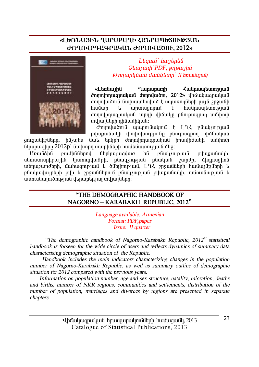### «ԼԵՌՆԱՅԻՆ ՂԱՐԱԲԱՂԻ ՀՄՆՐԱՊԵՏՈՒԹՅԱՆ **ÄàÔàì𸲶ð²Î²Ü ÄàÔàì²Ìàô, 2012¦**



 $L$ *banı* $G$ *` hwibnb* $G$  $Q$ *luusuuh* PDF, pnpwiha *ÂáÕ³ñÏÙ³Ý Å³ÙÏ»ïÁ` II »é³ÙëÛ³Ï*

**&Ltngwight Cununguight Culture Cununguight Culture** *d***nnulnnuqnuluuli dnnnuluudm, 2012** yhäytyystyluu dnnnluðni Guhuuntuluð tuunnngthh jujú mough hամար և արտացոյում է hանրապետության dnnnunnwanwluu wann uhawlin elinipwann wuhnuh undi undiging in hulung and the undit of the unit of the unit of the unit of the unit of the unit of the unit

dmnyluðnia yunniauynia t LLK paulisnipjua pվաքանակի փոփոխությունը բնութագրող հիմնական ցուցանիշները, ինչպես նաև երկրի ժողովրդագրական իրավիճակի ամփոփ

 $6$ iyunwahnn  $2012$ p'  $6$ whnnn mwnh $6$ thh hw $6$ tunnnpuu $6$   $6$ to:

UnwGáhG pwdhGGtnny Gtnlywnwaywd ta pGwlynpwG pywowGwlh. utinyununhpunhû yunniqyuodh, püwysnipjuli püyyuyü zundh, ühqnuqhnü տեղաշարժերի, մահացության և ծնելիության, Լ-ՂՀ շրջանների համայնքների և pնակավայրերի թվի և շրջաններում բնակչության թվաթանակի, ամուսնության և wûntuGwintdnipiwG danwpanjwi mdjwiGann:

#### **"THE DEMOGRAPHIC HANDBOOK OF NAGORNO – KARABAKH REPUBLIC, 2012"**

*Language available: Armenian Format: PDF,paper*  *Issue: II quarter* 

 *"The demographic handbook of Nagorno-Karabakh Republic, <sup>2012</sup>" statistical handbook is forseen for the wide circle of users and reflects dynamics of summary data characterising demographic situation of the Republic.* 

 *Handbook includes the main indicators characterizing changes in the population number of Nagorno-Karabakh Republic, as well as summary outline of demographic situation for 2012 compared with the previous years.* 

 *Information on population number, age and sex structure, natality, migration, deaths and births, number of NKR regions, communities and settlements, distribution of the number of population, marriages and divorces by regions are presented in separate chapters.*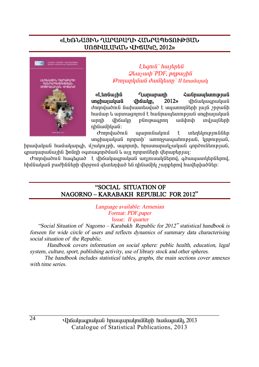#### «ԼԵՌՆԱՅԻՆ ՂԱՐԱԲԱՂԻ ՀՄՆՐԱՊԵՏՈՒԹՅԱՆ **êàòÆ²È²Î²Ü ìÆÖ²ÎÀ, 2012¦**



 $L$ *banı G`hwibnbû*  $Q$ *lauswh* `PDF, pnpwiha *ÂáÕ³ñÏÙ³Ý Å³ÙÏ»ïÁ` II »é³ÙëÛ³Ï*

«Ltn unha Qunununh < Lunununh» **and the Conformation unghujulululu í dhówlin. 2012**» dhówlugnalululu dnnnyudnia auhuuntuyud t uyunnnatnh juja znough hամար և արտացոլում է hանրապետության սոցիալական unnh վիճակը բնութագրող ամփոփ տվյայների nhuwuntuu G:

 $\sigma$ nnnywðni ujunni alinni þettir hafð þettir þettir þettir þ unghuyuuluu ninpunh umnguuyuhnipyuu, ynpnipyuu,

իրավական համակարգի, մշակույթի, սպորտի, հրատարակչական գործունեության, ---<br>anwnwnwGw1hG \$nGnh oqunwqnp∂մwG և այլ ոլորտGերի վերաբերյալ։

Ժողովածուն հագեցած է վիճակագրական աղյուսակներով, գծապատկերներով,  $h$ իմնական բաժինների վերջում գետեղված են դինամիկ շարքերով հավելվածներ:

#### **"SOCIAL SITUATION OF NAGORNO – KARABAKH REPUBLIC FOR 2012"**

*Language available: Armenian Format: PDF,paper*  Issue: *II quarter* 

 *"Social Situation of Nagorno – Karabakh Republic for <sup>2012</sup>" statistical handbook is forseen for wide circle of users and reflects dynamics of summary data characterising social situation of the Republic.* 

 *Handbook covers information on social sphere: public health, education, legal system, culture, sport, publishing activity, use of library stock and other spheres.* 

 *The handbook includes statistical tables, graphs, the main sections cover annexes with time series.*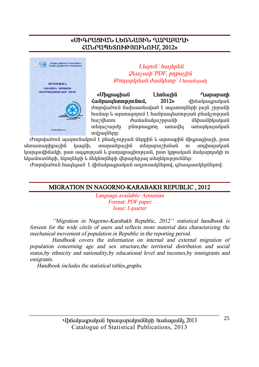#### «ՄՒԳՐԱՑՒՄՆ ԼԵՌՆԱՅԻՆ ՂԱՐԱԲԱՂԻ ՀՄՆՐԱՊԵՏՈՒԹՅՈՒՆՈՒՄ. 2012»



Lagnia huitabal **Qluusuuh** PDF, pnpuuhli Թողարկման ժամկետը` I եռամսյակ

«Uhanwahwû Ltmuuntu **Lunupunh** Հանոաաետությունում.  $2012<sub>o</sub>$ dhowluuqnwluu *dnnndwond Gwluwnhudwot warmngthn wig mowgh* համար և արտացոլում է հանրապետության բնակչության hwyytunn duuuuuuunguuuh մեխանիկական  $unlunum$  $unu$ ngungungung plinipwannn wnwybi undiunGthn:

Ժողովածուն պարունակում է բնակչության ներթին և արտաթին միգրացիայի, ըստ munudpunhu տեղաբաշխման սեռատարիքային կազմի,  $n_{\rm L}$ unghuquuluu կարգավիճակի, ըստ ազգության և քաղաքացիության, ըստ կրթական մակարդակի ու եկամուտների, եկողների և մեկնողների վերաբերյալ տեղեկություններ։

.<br>Ժողովածուն հագեցած է վիճակագրական աղյուսակներով, գծապատկերներով:

#### MIGRATION IN NAGORNO-KARABAKH REPUBLIC, 2012

Language available: Armenian Format: PDF paper Issue: I quarter

''Migration in Nagorno-Karabakh Republic, 2012'' statistical handbook is forseen for the wide circle of users and reflects more material data characterizing the mechanical movement of population in Republic in the reporting period.

Handbook covers the information on internal and external migration of population concerning age and sex structure, the territorial distribution and social status by ethnicity and nationality by educational level and incomes by immigrants and emigrants.

Handbook includes the statistical tables, graphs.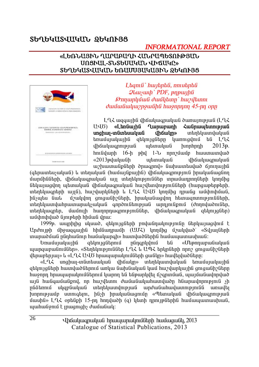# ՏԵՂԵԿԱՏՎԱԿԱՆ ՋԵԿՈՒՅՑ

### **INFORMATIONAL REPORT**

#### «ԼԵՌՆԱՅԻՆ ՂԱՐԱԲԱՂԻ ՀՄՆՐԱՊԵՏՈՒԹՅՄՆ UNSPUL-SLSGUUGULL UPQUGC» ՏԵՂԵԿԱՏՎԱԿԱՆ ԵՌԱՄՍՅԱԿԱՅԻՆ ՁԵԿՈՒՅՑ



Ltanıli' hurtantılı, nnutantılı  $Q$ *lausuah* PDF, pnp $U$ **Onnunlığuğ duğlıtını** huviltimi dunfurfurlurizmonifibli buronnum 45-nn onn

 $L$   $L$   $\lambda$  we apply the up to the up to the up to the up to the up to the up to the up to the U.A. U40) «LtnGuyhG Qunupunh ZuGnumbunnpyuG unghun-muntumuluug dhowutn» տեղեկատվական եռամսյակային ցեկույցները կառուցվում են  $192$ պետական  $2013p.$ *dh*owywannipiwa **Junnhnnh**  $h$ nı (ilunh  $16-h$  phy  $1-U$  nnn  $\mu$  ilunhunun  $\mu$ «2013 puluuluu lih պետական *dháwhwanwhwa* uizhiuiniuliplikinh dnuannil» liukuunkuluid amnurihli

(գերատեսչական) և տեղական (համայնթային) վիճակագրություն իրականացնող մարմինների, վիճակագրական այլ տեղեկություններ տրամադրողների կողմից նեկայազվող պետական վիճակագրական հաշվետվությունների (հարցաթերթերի, տեղեկագրերի այլն), հաշվարկների և ԼՂՀ ԱՎԾ կողմից դրանց ամփոփման. մշակվող ցուցանիշների, իրականացվող հետազոտությունների, hնչաես նաև տեղեկատվահրատարակչական գործունեության արդյունքում (ժողովածուներ, տեղեկագրեր, մամուլի հաղորդագրություններ, վիճակագրական զեկույցներ) ամփոփված նյութերի հիման վրա։

1999թ. ապրիլից սկսած, ցեկույցների բովանդակությունը ներկայացվում է Undnyeh միջազգային հիմնադրամի (UUՀ) կողմից մշակված՝ «Տվյայների տարածման ընդհանուր համակարգի» հատվածներին համապատասխան:

**Gruuunuluu**tha ցեկույցներում nüngnlulnu **bû** «Utennunuduluud այսոցաբանումներ», «Տերեկություններ LՂՀ և UՊՀ երկոների որը շուցանիշների dtmuntnuu» և «L-L2 UU6 hnuuunuunuumuutnhuuuun» huultuuduttnu:

«ԼՂՀ սոցիալ-տնտեսական վիճակը» տեղեկատվական եռամսյակային ցեկույցների հատվածներում առկա նախնական կամ հաշվարկային ցուցանիշները հաջորդ հրապարակումներում կարող են ենթարկվել ճշգրտման, պայմանավորված այն հանգամանքով, որ հաշվետու ժամանակահատվածը հնարավորություն չի ընձեռում սկզբնական տեղեկատվության արժանահավատությունն առավել -<br>|սորությամբ ստուգելու, ինչի իրականացումը «Պետական վիճակագրության մասին» ԼՂՀ օրենքի 15-րդ հոդվածի (q) կետի դրույթներին համապատասխան, muhulionin t inmaniah dunnuliuli: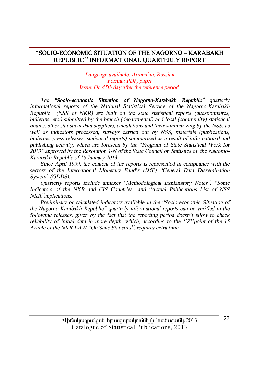#### **"SOCIO-ECONOMIC SITUATION OF THE NAGORNO – KARABAKH REPUBLIC " INFORMATIONAL QUARTERLY REPORT**

*Language available: Armenian, Russian Format: PDF, paper Issue: On 45th day after the reference period.* 

*The "Socio-economic Situation of Nagorno-Karabakh Republic" quarterly informational reports of the National Statistical Service of the Nagorno-Karabakh Republic (NSS of NKR) are built on the state statistical reports (questionnaires, bulletins, etc.) submitted by the branch (departmental) and local (community) statistical bodies, other statistical data suppliers, calculations and their summarizing by the NSS, as well as indicators processed, surveys carried out by NSS, materials (publications, bulletins, press releases, statistical reports) summarized as <sup>a</sup> result of informational and publishing activity, which are foreseen by the "Program of State Statistical Work for <sup>2013</sup>" approved by the Resolution 1-N of the State Council on Statistics of the Nagorno-Karabakh Republic of 16 January 2013.* 

*Since April 1999, the content of the reports is represented in compliance with the sectors of the International Monetary Fund's (IMF) "General Data Dissemination System" (GDDS).* 

*Quarterly reports include annexes "Methodological Explanatory Notes", "Some Indicators of the NKR and CIS Countries" and "Actual Publications List of NSS NKR"applications.* 

*Preliminary or calculated indicators available in the "Socio-economic Situation of the Nagorno-Karabakh Republic" quarterly informational reports can be verified in the following releases, given by the fact that the reporting period doesn't allow to check reliability of initial data in more depth, which, according to the ''Z''point of the 15 Article of the NKR LAW "On State Statistics", requires extra time.*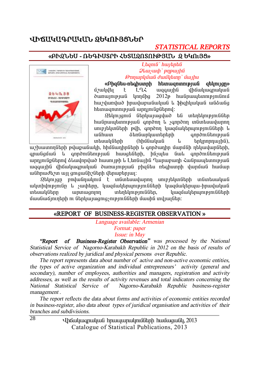# ՎԻՃԱԿԱԳՐԱԿԱՆ ՁԵԿՈՒՅՑՆԵՐ

# *STATISTICAL REPORTS*

#### **§´Æ¼Üºê - 躶ÆêîðÆ Ðºî²¼àîàôÂÚ²Ü ¼ ºÎàõÚò¦**



 $L$ *banıli` hwibnbli*  $\mathcal{Q}$ *lauswh* ` pnpwtha *ÂáÕ³ñÏÙ³Ý Å³ÙÏ»ïÁ` Ù³ÛÇë* 

**§´Ç½Ý»ë-é»·ÇëïñÇ Ñ»ï³½áïáõÃÛ³Ý ½»ÏáõÛóÁ¦** uzulultı k LQ3 mqquinli ilhümunmuluuli  $\delta$  unun puli  $\mu$ nnun  $2012$   $\mu$  hulin pulin pulin linun pulin linun b hwalundwd hnudwnudiuluud l \$hqhluuluud wadwag htunuu qnunnu puu Gunnunu (in durinnu):

 $2$ եկույցում ներկայացված են տեղեկություններ hw Gnua banna bandan kula sanadan sa Gunda wannan unipitunuttah puh, annonn uwauwuttanunipinuuttah u wնhwn åtnնwnywuntntnh anndni Gtnipiwa intuulu (hhuuluu ili intuuluu hü),

աշխատողների թվաքանակի, հիմնադիրների և գործադիր մարմնի ղեկավարների, qnuliguuli l qnndnulitnipjuli huugtilitnh, hliyytu liwl qnndnulitnipjuli արդյունքներով ձևավորված հասույթի և Լեռնային Ղարաբաղի Հանրապետության ացգային վիճակագրական ծառայության բիցնես ռեգիստրի վարման համար uühnudtizun uy qniquilhalinh iltinuptingui:

 $\Omega$ եկույզը բովանդակում է տնտեսավարող սուբյեկտների տնտեսական ulunhumpjnilin u suuhtinn, yuquulutinumpjnililitinh yuquulutinuju-hhuuluuluul untulu kümən iya iylə başların başlarından burundur. Turun başlardan başlardan başlardan başlardan b մասնաճյուղերի ու ներկայացուցչությունների մասին տվյայներ։

#### **§REPORT OF BUSINESS-REGISTER OBSERVATION ¦**

*Language available: Armenian Format: paper Issue: in May* 

 *"Report of Business-Register Observation" was processed by the National Statistical Service of Nagorno-Karabakh Republic in 2012 on the basis of results of observations realized by juridical and physical persons over Republic.* 

 *The report represents data about number of active and non-active economic entities, the types of active organization and individual entrepreneurs' activity (general and secondary), number of employees, authorities and managers, registration and activity addresses, as well as the results of activity revenues and total indicators concerning the National Statistical Service of Nagorno-Karabakh Republic business-register management .* 

 *The report reflects the data about forms and activities of economic entities recorded in business-register, also data about types of juridical organisation and activities of their branches and subdivisions.* 

> Uhauluugnuluua hnuuununulmuath huuuquall, 2013 Catalogue of Statistical Publications, 2013

 $\overline{28}$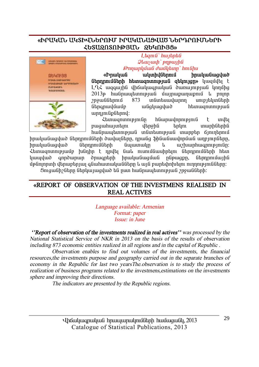#### «ÞԲԱԿԱՆ ԱԿՏԻՎՆԵԲՈՒՄ ԻԲԱԿԱՆԱՑՎԱԾՆԵԲԳՈՒՄՆԵԲԻ *<u> ՀԵՏԱՁՈՏՈՒԹՅԱՆ ՁԵԿՈՒՅՑ»</u>*



 $L$ *banı G`hwibnbû*  $\mathcal{Q}$ *luusuuh* `pηp*w*<sub>l</sub>*hli <i><u>∂mnunljuuli ∂wüljtunn` hni lihu*</u>

**s**<br>**kn** *s<b>i***lililililililililililililililililililililililililililililililililil** *C***itpppnւմների hետագոտության գեկույցը» կազմվել է**  $L$ Q $\zeta$  wggwiha ilhawlwgnwywa dwnwinipiwa yinnyhg  $2013$ թ հանրապետության մայրաքաղաքում և բոլոր<br>շրջաններում 873 տնտեսավարող սուբյեկտների շրջաններում 873 տնտեսավարող սուբյեկտների<br>նեոգոավմամբ անցկացված հետացոտության  $\overline{u}$ fin  $\overline{u}$  and  $\overline{u}$  and  $\overline{u}$  and  $\overline{u}$  $unn$ nl $p$  $d$ t $n$ nl:

Ztunwgnunnyemun huwmwynnyemu t myty pwgwhwyntyni ytpyha tpyni mwnhatpha hw Gnuu tunn pu G in Guntun pu G inungun in an an ann t

իրականացված ներդրումների ծավալները, դրանց ֆինանսավորման աղբյուրները, hnwywGwgywo GthnnmwGthh Gwwmwyn y wytwynhwgnnypin.Gn: Հետացոտությամբ խնդիր է որվել նաև ուսումնասիրելու ներդրումների հետ կապված գործարար ծրագրերի իրականազման ընթացթը, ներդրումային <u>մ</u>թնոլորտի վերաբերյալ գնահատականները և այն բարեփոխելու ուղղությունները։  $\delta$ ուզանիշները ներկայազված են ըստ հանրապետության շրջանների։

#### **§REPORT OF OBSERVATION OF THE INVESTMENS REALISED IN REAL ACTIVES**

*Language available: Armenian Format: paper Issue: in June* 

 *''Report of observation of the investments realized in real actives'' was processed by the National Statistical Service of NKR in 2013 on the basis of the results of observation including 873 economic entities realized in all regions and in the capital of Republic .* 

*Observation enables to find out volumes of the investments, the financial resources,the investments purpose and geography carried out in the separate branches of economy in the Republic for last two yearsThe.observation is to study the process of realization of business programs related to the investmens,estimations on the investments sphere and improving their directions.* 

*The indicators are presented by the Republic regions.*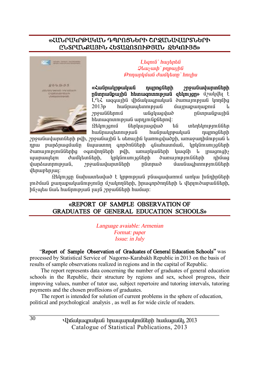#### «ՀՄՆԲԱԿԲԹԱԿԱՆ ԳՊԲՈՑՆԵԲ**Ի ՇԲՋՄՆԱՎԱԲՏՆԵ**ԲԻ ԸՆՏՐՄՆՔԱՅԻՆ ՀԵՏԱՁՈՏՈՒԹՅԱՆ ՁԵԿՈՒՅՑ»



 $L$ *<i>anı a*` *hwibnbû*  $Q$ *l*<sub>*luyuuh* ` *pnpwyhû*</sub> *ÂáÕ³ñÏÙ³Ý Å³ÙÏ»ïÁ` ÑáõÉÇë* 

**§Ð³Ýñ³ÏñÃ³Ï³Ý ¹åñáóÝ»ñÇ ßñç³Ý³í³ñïÝ»ñÇ hünnuüpunhü htmuqnunnpjuü qtunign»** uzuqlult LL iqquih ilhauluuqnuluu dununpuu linnuhq 2013թ hանրապետության մայրաքաղաքում և<br>շրջաններում անգկազված ոնտուսնուսին wūquwquwd nūmpwūpwihū htunugnunnupjuu unninuuputtannul:

 $\Omega$ եկույզում ներկայազված են տեղեկություններ hw Gnuu u anipu di shughu dhughada dhughada hughu dha ku maya ay na dan hughu dha ku aa ah ah ah hughu dha ku

zn9անավարտների թվի, շր9անային և սեռային կառուցվածքի, առա9ադիմության և nnա բարձրազմանը նպաստող գործոնների գնահատման, կրկնուսույզների dunuunup müütinha oamunnütinh puh, uinunluu ütinh luuguh li inuunughs այարապելու ժամկետների, կրկնուսույցների ծառայությունների դիմաց ilunaðunnne bílað, en súðurlunnað heimað sú hafðurgaðunne hafðir h  $\psi$ ulgauphak

 $\Omega$ tynyan նախատեսված է կրթության ընագավառում առկա խնդիրների  $m$  $\delta$ ման քաղաքականությունը մշակողների, իրագործողների և վերյուծաբանների, .<br>hնչպես նաև հանրության լայն շրջանների համար:

#### **¦REPORT OF SAMPLE OBSERVATION OF GRADUATES OF GENERAL EDUCATION SCHOOLS§**

*Language avaiable: Armenian Format: paper Issue: in July* 

"**Report of Sample Observation of Graduates of General Education Schools"** was

processed by Statistical Service of Nagorno-Karabakh Republic in 2013 on the basis of results of sample observations realized in regions and in the capital of Republic.

 The report represents data concerning the number of graduates of general education schools in the Republic, their structure by regions and sex, school progress, their improving values, number of tutor use, subject repertoire and tutoring intervals, tutoring payments and the chosen proffesions of graduates.

The report is intended for solution of current problems in the sphere of education, political and psychological analysis , as well as for wide circle of readers.

> Uhauluuqnuluua hpuuuunulmuath huuuquali. 2013 Catalogue of Statistical Publications, 2013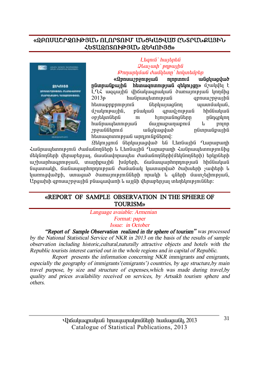#### **§¼´àê²ÞðæàôÂÚ²Ü àÈàðîàôØ ²Üòβòì²Ì ÀÜîð²Üø²ÚÆÜ**  *kb***suonsnigaut, obyndas»**



#### $L$ *banı G`hwibnbû*  $Q$ *lauswah* ` pnpwihli *ÂáÕ³ñÏÙ³Ý Å³ÙÏ»ïÁ` ÑáÏï»ÙµȖ*

**§¼µáë³ßñçáõÃÛ³Ý áÉáñïáõÙ ³Ýóϳóí³Í hünnulipuihü htiniuanininipiuli atilinian» űzulilla k** \_<br>L-ՂՀ ազգային վիճակագրական ծառայության կողմից  $2013$ թ hանրապետության զբոսա $2013$ թ htunuppppnuppnu (ithunungun ununguluu), մշակութային, բնական գրավչության <mark>hիմնական</mark> op լեկտներն ու հյուրանոցները ընդգրկող hw Gnuu bunnyu dia yayan waxa ilaya masa da siyaha da waxa ka kara waxa a ka kara waxa waxa waxa ka ka ka kara znywGGtznuG wGqywqywd nGunnwGpwyhG htunuqnunnpuuG unnunGpGtpny:

 $9$ tum anu Gthuu wayud ta Ltangunha Qunununh Zwūnwww twnpping dwww match L Langwiha Qwnwpwnh Zwunwytwnppingha մեկնողների վերաբերյալ, մասնավորապես ժամանողների(մեկնողների) երկրների w>huunhwqnntpjwG, inwnhpwjhG hivîptnh, ճwGwywnhnnnntpjwG hhuGwywG նպատակի, ճանապարհորդության ժամանակ կատարված ծախսերի չափերի և կառուզվածքի, ստացած ծառայությունների որակի և գների մատչելիության, Ungwhih gpnuw) nջwihն pնագավառի և այլնի վերաբերյալ տեղեկություններ։

#### **§REPORT OF SAMPLE OBSERVATION IN THE SPHERE OF TOURISM¦**

 *Language avaiable: Armenian Format: paper Issue: in October* 

 *"Report of Sample Observation realized in thr sphere of tourism" was processed by the National Statistical Service of NKR in 2013 on the basis of the results of sample observation including historic,cultural,naturally attractive objects and hotels with the Republic tourists interest carried out in the whole regions and in capital of Republic.* 

*Report presents the information concerning NKR immigrants and emigrants, especially the geography of immigrants'(emigrants') countries, by age structure,by main travel purpose, by size and structure of expenses,which was made during travel,by quality and prices availability received on services, by Artsakh tourism sphere and others.*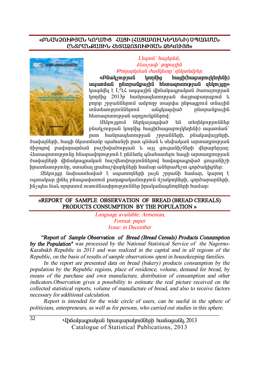#### **§´Ü²ÎâàôÂÚ²Ü ÎàÔØÆò вòÆ (вò²´àôÈÎºÔºÜÆ) êä²èØ²Ü**  ԸՆՏՐՄՆՔԱՅԻՆ ՀԵՏԱՁՈՏՈՒԹՅԱՆ ՁԵԿՈՒՅՑ»

#### L**baní** buntaba,  $δ$ *luusjuy ` pηpwllû ÂáÕ³ñÏÙ³Ý Å³ÙÏ»ïÁ` ¹»Ïï»ÙµȖ*

**§´Ý³ÏãáõÃÛ³Ý ÏáÕÙÇó ѳóÇ(ѳó³µáõÉϻջÝÇ) uwww.i**udi ndunnudpuuhd htunuonunnupuud atunuon» luuquultu t LQ< wqqwiha dhawluuqnuluud dunuunipuud linnung 2013 huu uu bunni bilah uu pupununun pninn *y*ngwüüthnu wupnng mwnyw nüpwqpni müwihü un Guntum pin Gütinnu Gundal va Gundalan birin tarihi tarihi tarihi tarihi tarihi tarihi tarihi tarihi tarihi htunuqnunnpuud unnini updtanul:

 $2$ եկույցում ներկայացված են տեղեկություններ pնակչության կողմից hագի(hազաբույկեղենի) սպառման` nun hw Gnuutun an an mow Gath, p Guutuu un ah,

ծավայների, hացի նկատմամբ աաիանջի ըստ գնման և սեփական արտարրության úhonand puulumumüul purkuluompuul k un amaulihelimh dhnuphnuur Zhiniugnunni pini Gn hauniu yhni pini a tali daharan haifini hugh unununni pini d ծավայների վիճակագրական hաշվետվություններով hավաթագրված ցուցանիշի hnwuntumpinian, umwawi inwhweylunliath hwu wahnwaten qnndwyhqatn:

 $\mathfrak A$ եկույզը նախատեսված է սպառողների լայն շրջանի համար, կարող է ogunuluun thüti püwawylunni punupuluu ünipini üzulinnütnh, annownunütnh,  $h$ ն $j$ պես նաև ոլորտում ուսումնասիրություններ իրականացնողների համար։

#### **§REPORT OF SAMPLE OBSERVATION OF BREAD (BREAD CEREALS)**  PRODUCTS CONSUMPTION BY THE POPULATION »

 *Language available: Armenian, Format: paper Issue: in December* 

 *"Report of Sample Observation of Bread (Bread Cereals) Products Consumption by the Population'' was processed by the National Statistical Service of the Nagorno-Karabakh Republic in 2013 and was realized in the capital and in all regions of the Republic, on the basis of results of sample observations spent in housekeeping families.* 

 *In the report are presented data on bread (bakery) products consumption by the population by the Republic regions, place of residence, volume, demand for bread, by means of the purchase and own manufacture, distribution of consumption and other indicators.Observation gives <sup>a</sup> possibility to estimate the real picture received on the collected statistical reports, volume of manufacture of bread, and also to receive factors necessary for additional calculation.* 

 *Report is intended for the wide circle of users, can be useful in the sphere of politicians, enterpreneurs, as well as for persons, who carried out studies in this sphere.* 

> Uhauluugnuluu hnuuunulmuumulinh huuuquuul, 2013 Catalogue of Statistical Publications, 2013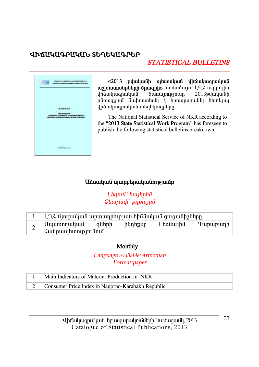# ՎԻճԱԿԱԳՐԱԿԱՆ ՏԵՂԵԿԱԳՐԵՐ

# **STATISTICAL BULLETINS**



«2013 թվականի պետական վիճակագրական uz humulipütnh onungnh» humudud LL2 waquunlu <u>վիճակազրական</u>  $2013$ pluluufih  $n$ վիճակագրական տեղեկագրերը.

The National Statistical Service of NKR according to the "2013 State Statistical Work Program" has foreseen to publish the following statistical bulletins breakdown:

#### Ամսական պարբերականությամբ

Ltanı G'huntata  $Q$ *lausuah* ` pnp $Q$ *lausuah* 

|   | ԼՂՀ նյութական արտադրության հիմնական ցուցանիշները |       |         |          |          |
|---|--------------------------------------------------|-------|---------|----------|----------|
| ∼ | Սպառողական<br>Հանրապետությունում                 | գների | ինդեքսը | Լեռնային | Ղարաբաղի |

#### Monthly

Language available: Armenian Format: paper

| Main Indicators of Material Production in NKR       |
|-----------------------------------------------------|
| 2 Consumer Price Index in Nagorno-Karabakh Republic |

Uhouyuuqnuyuu hnuuyunuynuyotanh huuyuquuy, 2013 Catalogue of Statistical Publications, 2013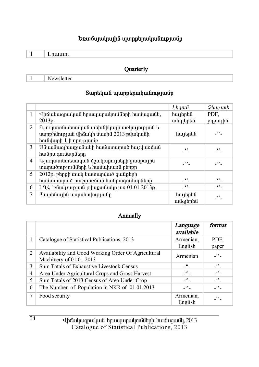### **Եռամսյակային պարբերականությամբ**

 **Quarterly** 

1 Newsletter

### $S$ արեկան պարբերականությամբ

|    |                                                                                                             | Laqnıli              | $\mathcal{Q}$ luu $\mathcal{Y}$ uu $\mathcal{P}$          |
|----|-------------------------------------------------------------------------------------------------------------|----------------------|-----------------------------------------------------------|
| 1  | Վիճակագրական հրապարակումների համացանկ,                                                                      | հայերեն              | PDF.                                                      |
|    | 2013p.                                                                                                      | անգլերեն             | pypujhti                                                  |
| 2  | Գյուղատնտեսական տեխնիկայի առկայության և<br>սարքինության վիճակի մասին 2013 թվականի<br>հունվարի 1-ի դրությամբ | հայերեն              | -''-                                                      |
| 3  | Անասնագլխաքանակի համատարած հաշվառման<br>հանրագումարները                                                     | $\ddot{\phantom{0}}$ | -''-                                                      |
| 4  | Գյուղատնտեսական մշակաբույսերի ցանքային<br>տարածությունների և համախառն բերքը                                 | -''-                 | -''-                                                      |
| 5. | 2012թ. բերքի տակ կատարված ցանքերի                                                                           |                      |                                                           |
|    | համատարած հաշվառման հանրագումարները                                                                         | -''-                 | -''-                                                      |
| 6  | $L\left(\frac{1}{2}\right)$ refund plupuliaring the 01.01.2013 p.                                           | $ -$                 | $\overline{\phantom{a}}$ $\cdot$ $\overline{\phantom{a}}$ |
| 7  | Պարենային ապահովությունը                                                                                    | հայերեն<br>անգլերեն  |                                                           |

#### **Annually**

|   |                                                                                | Language<br>available | format   |
|---|--------------------------------------------------------------------------------|-----------------------|----------|
|   | Catalogue of Statistical Publications, 2013                                    | Armenian,             | PDF.     |
|   |                                                                                | English               | paper    |
| 2 | Availability and Good Working Order Of Agricultural<br>Machinery of 01.01.2013 | Armenian              | $ -$     |
| 3 | Sum Totals of Exhaustive Livestock Census                                      | $-$ <sup>66</sup>     | $-$      |
| 4 | Area Under Agricultural Crops and Gross Harvest                                | $-$                   | $-$      |
| 5 | Sum Totals of 2013 Census of Area Under Crop                                   | $-$                   | $-$      |
| 6 | The Number of Population in NKR of 01.01.2013                                  | $-$ 6 $2-$            | $ -$     |
| 7 | Food security                                                                  | Armenian,             | $\ddots$ |
|   |                                                                                | English               |          |

Uhauluuqnuluua hpuuyuqnulpnuathph huuuquualy, 2013 Catalogue of Statistical Publications, 2013

34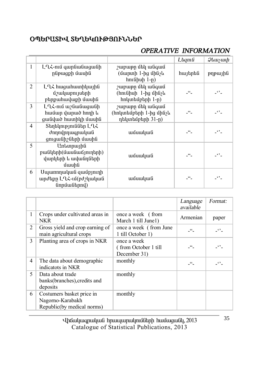# **úäºð²îÆì îºÔºÎàôÂÚàôÜܺð**

# *OPERATIVE INFORMATION*

|   |                                                                     |                                                                | Laqnıli            | <i><b>Qluuyuuh</b></i> |
|---|---------------------------------------------------------------------|----------------------------------------------------------------|--------------------|------------------------|
| 1 | ԼՂՀ-ում գարնանացանի<br>րնթացքի մասին                                | շաբաթը մեկ անգամ<br>(մարտի 1-ից մինչև<br>հունիսի 1-ը)          | հայերեն            | pypujhli               |
| 2 | ԼՂՀ հացահատիկային<br>մշակաբույսերի<br>բերքահավաքի մասին             | շաբաթը մեկ անգամ<br>(հունիսի 1-ից մինչև<br>հոկտեմբերի 1-ր)     | - "-               | -''-                   |
| 3 | ԼՂՀ-ում աշնանացանի<br>համար վարած հողի և<br>ցանված հատիկի մասին     | շաբաթը մեկ անգամ<br>(հոկտեմբերի 1-ից մինչև<br>դեկտեմբերի 31-ը) | $ -$               | $\cdot$ .              |
| 4 | Տեղեկություններ ԼՂՀ<br>ժողովրդագրական<br>ցուցանիշների մասին         | ամսական                                                        | 66                 | $\ddotsc$              |
| 5 | Առևտրային<br>բանկերի(մասնաճյուղերի)<br>վարկերի և ավանդների<br>մասին | ամսական                                                        | $\lceil 46 \rceil$ | $\cdot$ .              |
| 6 | Սպառողական զամբյուղի<br>արժեքը ԼՂՀ-ւմ(բժշկական<br>(inputution)      | ամսական                                                        | $\epsilon$         | $\ddot{\phantom{1}}$   |

|                |                                                                             |                                                      | Language<br>available | Format:              |
|----------------|-----------------------------------------------------------------------------|------------------------------------------------------|-----------------------|----------------------|
| $\mathbf{1}$   | Crops under cultivated areas in<br>NKR                                      | once a week (from<br>March 1 till June1)             | Armenian              | paper                |
| 2              | Gross yield and crop earning of<br>main agricultural crops                  | once a week (from June<br>1 till October 1)          | $-66$                 | $-$                  |
| 3              | Planting area of crops in NKR                                               | once a week<br>(from October 1 till)<br>December 31) | 66                    | $\ddots$             |
| $\overline{4}$ | The data about demographic<br>indicatots in NKR                             | monthly                                              | 66                    | $ \cdot$ $\cdot$ $-$ |
| 5              | Data about trade<br>banks(branches), credits and<br>deposits                | monthly                                              |                       |                      |
| 6              | Costumers basket price in<br>Nagorno-Karabakh<br>Republic(by medical norms) | monthly                                              |                       |                      |

in in an baique d'aria d'ara d'ara d'ara d'ara da qua d'ara d'ara dan dina dina dina dina dina dina d Catalogue of Statistical Publications, 2013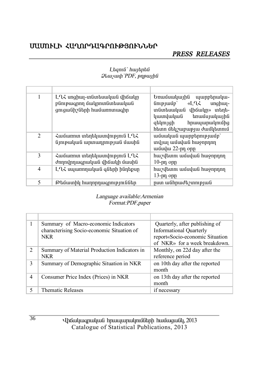# ՄԱՄՈՒԼԻ ՀԱՂՈՐԴԱԳՐՈՒԹՅՈՒՆՆԵՐ

#### PRESS RELEASES

| 1 | ԼՂՀ սոցիալ-տնտեսական վիճակը<br>բնութագրող մակրոտնտեսական<br>ցուցանիշների համառոտագիր | Եռամսակային<br>պարբերակա-<br>«LՂՀ<br>$\lim_{p \to \infty}$<br>$unq$ h $u$<br>տնտեսական վիճակը» տեղե-<br>կատվական<br>եռամսյակային<br>զեկույցի<br>հրապարակումից<br>հետո մեկշաբաթյա ժամկետում |
|---|--------------------------------------------------------------------------------------|--------------------------------------------------------------------------------------------------------------------------------------------------------------------------------------------|
| 2 | Համառոտ տեղեկատվություն ԼՂՀ<br>նյութական արտադրության մասին                          | ամսական պարբերությամբ`<br>տվյալ ամսվան հաջորդող<br>ամավա 22-րդ օրը                                                                                                                         |
| 3 | Համառոտ տեղեկատվություն ԼՂՀ<br>ժողովրդագրական վիճակի մասին                           | հաշվետու ամսվան հաջորդող<br>$10$ -pn opp                                                                                                                                                   |
| 4 | ԼՂՀ սպառողական գների ինդեքսը                                                         | հաշվետու ամսվան հաջորդող<br>$13$ -րդ օրը                                                                                                                                                   |
| 5 | Թեմատիկ հաղորդագրություններ                                                          | րստ անհրաժեշտության                                                                                                                                                                        |

#### Ltanı G'huntantu  $Q$ *luuyuuh* 'PDF, p $\eta$ puyhli

#### Language available: Armenian Format:PDF,paper

|               | Summary of Macro-economic Indicators<br>characterising Socio-economic Situation of<br><b>NKR</b> | Quarterly, after publishing of<br><b>Informational Quarterly</b><br>report«Socio-economic Situation<br>of NKR <sub>»</sub> for a week breakdown. |
|---------------|--------------------------------------------------------------------------------------------------|--------------------------------------------------------------------------------------------------------------------------------------------------|
| $\mathcal{L}$ | Summary of Material Production Indicators in<br>NKR                                              | Monthly, on 22d day after the<br>reference period                                                                                                |
| 3             | Summary of Demographic Situation in NKR                                                          | on 10th day after the reported<br>month                                                                                                          |
| 4             | Consumer Price Index (Prices) in NKR                                                             | on 13th day after the reported<br>month                                                                                                          |
|               | Thematic Releases                                                                                | if necessary                                                                                                                                     |

Uhauluuqnuluua hpuuyuqnulpnuathp huuugualy, 2013 Catalogue of Statistical Publications, 2013